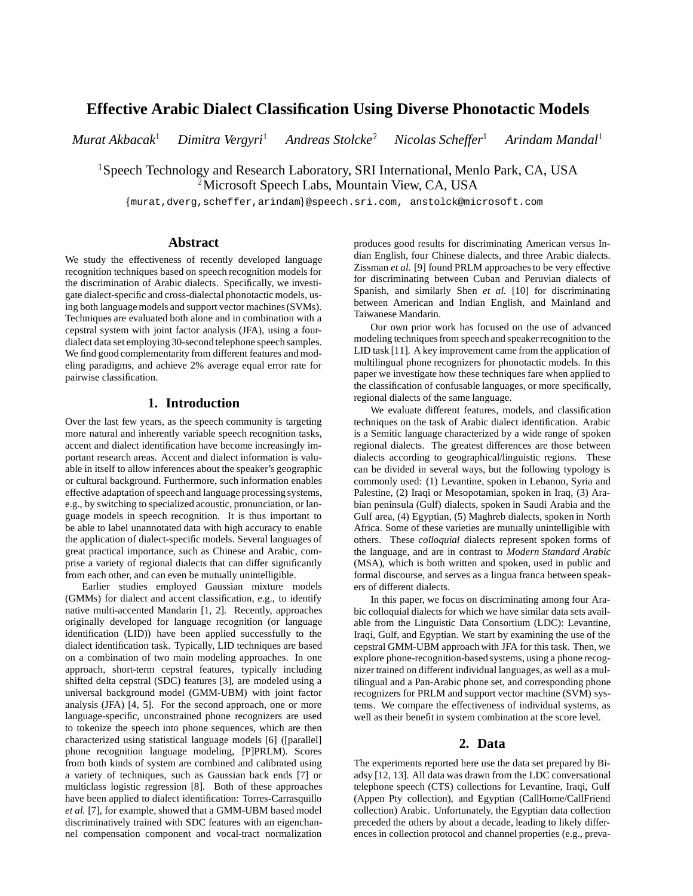# **Effective Arabic Dialect Classification Using Diverse Phonotactic Models**

*Murat Akbacak*<sup>1</sup> *Dimitra Vergyri*<sup>1</sup> *Andreas Stolcke*<sup>2</sup> *Nicolas Scheffer*<sup>1</sup> *Arindam Mandal*<sup>1</sup>

<sup>1</sup> Speech Technology and Research Laboratory, SRI International, Menlo Park, CA, USA <sup>2</sup> Microsoft Speech Labs, Mountain View, CA, USA

fmurat,dverg,scheffer,arindamg@speech.sri.com, anstolck@microsoft.com

# **Abstract**

We study the effectiveness of recently developed language recognition techniques based on speech recognition models for the discrimination of Arabic dialects. Specifically, we investigate dialect-specific and cross-dialectal phonotactic models, using both language models and support vector machines (SVMs). Techniques are evaluated both alone and in combination with a cepstral system with joint factor analysis (JFA), using a fourdialect data set employing 30-second telephone speech samples. We find good complementarity from different features and modeling paradigms, and achieve 2% average equal error rate for pairwise classification.

# **1. Introduction**

Over the last few years, as the speech community is targeting more natural and inherently variable speech recognition tasks, accent and dialect identification have become increasingly important research areas. Accent and dialect information is valuable in itself to allow inferences about the speaker's geographic or cultural background. Furthermore, such information enables effective adaptation of speech and language processing systems, e.g., by switching to specialized acoustic, pronunciation, or language models in speech recognition. It is thus important to be able to label unannotated data with high accuracy to enable the application of dialect-specific models. Several languages of great practical importance, such as Chinese and Arabic, comprise a variety of regional dialects that can differ significantly from each other, and can even be mutually unintelligible.

Earlier studies employed Gaussian mixture models (GMMs) for dialect and accent classification, e.g., to identify native multi-accented Mandarin [1, 2]. Recently, approaches originally developed for language recognition (or language identification (LID)) have been applied successfully to the dialect identification task. Typically, LID techniques are based on a combination of two main modeling approaches. In one approach, short-term cepstral features, typically including shifted delta cepstral (SDC) features [3], are modeled using a universal background model (GMM-UBM) with joint factor analysis (JFA) [4, 5]. For the second approach, one or more language-specific, unconstrained phone recognizers are used to tokenize the speech into phone sequences, which are then characterized using statistical language models [6] ([parallel] phone recognition language modeling, [P]PRLM). Scores from both kinds of system are combined and calibrated using a variety of techniques, such as Gaussian back ends [7] or multiclass logistic regression [8]. Both of these approaches have been applied to dialect identification: Torres-Carrasquillo *et al.* [7], for example, showed that a GMM-UBM based model discriminatively trained with SDC features with an eigenchannel compensation component and vocal-tract normalization produces good results for discriminating American versus Indian English, four Chinese dialects, and three Arabic dialects. Zissman *et al.* [9] found PRLM approaches to be very effective for discriminating between Cuban and Peruvian dialects of Spanish, and similarly Shen *et al.* [10] for discriminating between American and Indian English, and Mainland and Taiwanese Mandarin.

Our own prior work has focused on the use of advanced modeling techniques from speech and speakerrecognition to the LID task [11]. A key improvement came from the application of multilingual phone recognizers for phonotactic models. In this paper we investigate how these techniques fare when applied to the classification of confusable languages, or more specifically, regional dialects of the same language.

We evaluate different features, models, and classification techniques on the task of Arabic dialect identification. Arabic is a Semitic language characterized by a wide range of spoken regional dialects. The greatest differences are those between dialects according to geographical/linguistic regions. These can be divided in several ways, but the following typology is commonly used: (1) Levantine, spoken in Lebanon, Syria and Palestine, (2) Iraqi or Mesopotamian, spoken in Iraq, (3) Arabian peninsula (Gulf) dialects, spoken in Saudi Arabia and the Gulf area, (4) Egyptian, (5) Maghreb dialects, spoken in North Africa. Some of these varieties are mutually unintelligible with others. These *colloquial* dialects represent spoken forms of the language, and are in contrast to *Modern Standard Arabic* (MSA), which is both written and spoken, used in public and formal discourse, and serves as a lingua franca between speakers of different dialects.

In this paper, we focus on discriminating among four Arabic colloquial dialects for which we have similar data sets available from the Linguistic Data Consortium (LDC): Levantine, Iraqi, Gulf, and Egyptian. We start by examining the use of the cepstral GMM-UBM approach with JFA for this task. Then, we explore phone-recognition-based systems, using a phone recognizer trained on different individual languages, as well as a multilingual and a Pan-Arabic phone set, and corresponding phone recognizers for PRLM and support vector machine (SVM) systems. We compare the effectiveness of individual systems, as well as their benefit in system combination at the score level.

# **2. Data**

The experiments reported here use the data set prepared by Biadsy [12, 13]. All data was drawn from the LDC conversational telephone speech (CTS) collections for Levantine, Iraqi, Gulf (Appen Pty collection), and Egyptian (CallHome/CallFriend collection) Arabic. Unfortunately, the Egyptian data collection preceded the others by about a decade, leading to likely differences in collection protocol and channel properties (e.g., preva-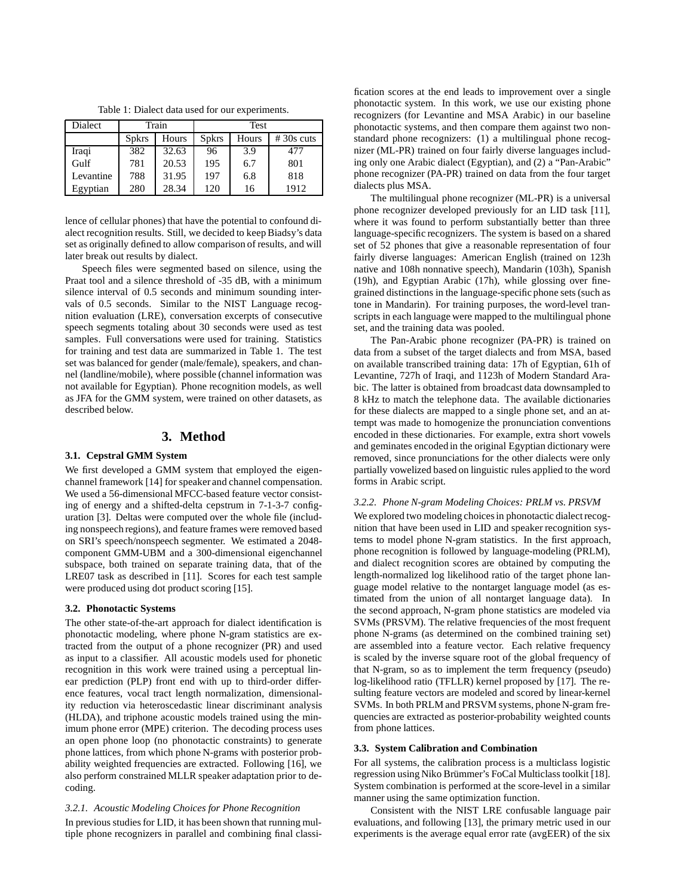Table 1: Dialect data used for our experiments.

| Dialect   | Train        |       | Test         |       |             |
|-----------|--------------|-------|--------------|-------|-------------|
|           | <b>Spkrs</b> | Hours | <b>Spkrs</b> | Hours | $#30s$ cuts |
| Iraqi     | 382          | 32.63 | 96           | 3.9   | 477         |
| Gulf      | 781          | 20.53 | 195          | 6.7   | 801         |
| Levantine | 788          | 31.95 | 197          | 6.8   | 818         |
| Egyptian  | 280          | 28.34 | 120          | 16    | 1912        |

lence of cellular phones) that have the potential to confound dialect recognition results. Still, we decided to keep Biadsy's data set as originally defined to allow comparison of results, and will later break out results by dialect.

Speech files were segmented based on silence, using the Praat tool and a silence threshold of -35 dB, with a minimum silence interval of 0.5 seconds and minimum sounding intervals of 0.5 seconds. Similar to the NIST Language recognition evaluation (LRE), conversation excerpts of consecutive speech segments totaling about 30 seconds were used as test samples. Full conversations were used for training. Statistics for training and test data are summarized in Table 1. The test set was balanced for gender (male/female), speakers, and channel (landline/mobile), where possible (channel information was not available for Egyptian). Phone recognition models, as well as JFA for the GMM system, were trained on other datasets, as described below.

# **3. Method**

#### **3.1. Cepstral GMM System**

We first developed a GMM system that employed the eigenchannel framework [14] for speaker and channel compensation. We used a 56-dimensional MFCC-based feature vector consisting of energy and a shifted-delta cepstrum in 7-1-3-7 configuration [3]. Deltas were computed over the whole file (including nonspeech regions), and feature frames were removed based on SRI's speech/nonspeech segmenter. We estimated a 2048 component GMM-UBM and a 300-dimensional eigenchannel subspace, both trained on separate training data, that of the LRE07 task as described in [11]. Scores for each test sample were produced using dot product scoring [15].

#### **3.2. Phonotactic Systems**

The other state-of-the-art approach for dialect identification is phonotactic modeling, where phone N-gram statistics are extracted from the output of a phone recognizer (PR) and used as input to a classifier. All acoustic models used for phonetic recognition in this work were trained using a perceptual linear prediction (PLP) front end with up to third-order difference features, vocal tract length normalization, dimensionality reduction via heteroscedastic linear discriminant analysis (HLDA), and triphone acoustic models trained using the minimum phone error (MPE) criterion. The decoding process uses an open phone loop (no phonotactic constraints) to generate phone lattices, from which phone N-grams with posterior probability weighted frequencies are extracted. Following [16], we also perform constrained MLLR speaker adaptation prior to decoding.

*3.2.1. Acoustic Modeling Choices for Phone Recognition* In previous studies for LID, it has been shown that running multiple phone recognizers in parallel and combining final classification scores at the end leads to improvement over a single phonotactic system. In this work, we use our existing phone recognizers (for Levantine and MSA Arabic) in our baseline phonotactic systems, and then compare them against two nonstandard phone recognizers: (1) a multilingual phone recognizer (ML-PR) trained on four fairly diverse languages including only one Arabic dialect (Egyptian), and (2) a "Pan-Arabic" phone recognizer (PA-PR) trained on data from the four target dialects plus MSA.

The multilingual phone recognizer (ML-PR) is a universal phone recognizer developed previously for an LID task [11], where it was found to perform substantially better than three language-specific recognizers. The system is based on a shared set of 52 phones that give a reasonable representation of four fairly diverse languages: American English (trained on 123h native and 108h nonnative speech), Mandarin (103h), Spanish (19h), and Egyptian Arabic (17h), while glossing over finegrained distinctions in the language-specific phone sets (such as tone in Mandarin). For training purposes, the word-level transcripts in each language were mapped to the multilingual phone set, and the training data was pooled.

The Pan-Arabic phone recognizer (PA-PR) is trained on data from a subset of the target dialects and from MSA, based on available transcribed training data: 17h of Egyptian, 61h of Levantine, 727h of Iraqi, and 1123h of Modern Standard Arabic. The latter is obtained from broadcast data downsampled to 8 kHz to match the telephone data. The available dictionaries for these dialects are mapped to a single phone set, and an attempt was made to homogenize the pronunciation conventions encoded in these dictionaries. For example, extra short vowels and geminates encoded in the original Egyptian dictionary were removed, since pronunciations for the other dialects were only partially vowelized based on linguistic rules applied to the word forms in Arabic script.

#### *3.2.2. Phone N-gram Modeling Choices: PRLM vs. PRSVM*

We explored two modeling choices in phonotactic dialect recognition that have been used in LID and speaker recognition systems to model phone N-gram statistics. In the first approach, phone recognition is followed by language-modeling (PRLM), and dialect recognition scores are obtained by computing the length-normalized log likelihood ratio of the target phone language model relative to the nontarget language model (as estimated from the union of all nontarget language data). In the second approach, N-gram phone statistics are modeled via SVMs (PRSVM). The relative frequencies of the most frequent phone N-grams (as determined on the combined training set) are assembled into a feature vector. Each relative frequency is scaled by the inverse square root of the global frequency of that N-gram, so as to implement the term frequency (pseudo) log-likelihood ratio (TFLLR) kernel proposed by [17]. The resulting feature vectors are modeled and scored by linear-kernel SVMs. In both PRLM and PRSVM systems, phone N-gram frequencies are extracted as posterior-probability weighted counts from phone lattices.

#### **3.3. System Calibration and Combination**

For all systems, the calibration process is a multiclass logistic regression using Niko Brümmer's FoCal Multiclass toolkit [18]. System combination is performed at the score-level in a similar manner using the same optimization function.

Consistent with the NIST LRE confusable language pair evaluations, and following [13], the primary metric used in our experiments is the average equal error rate (avgEER) of the six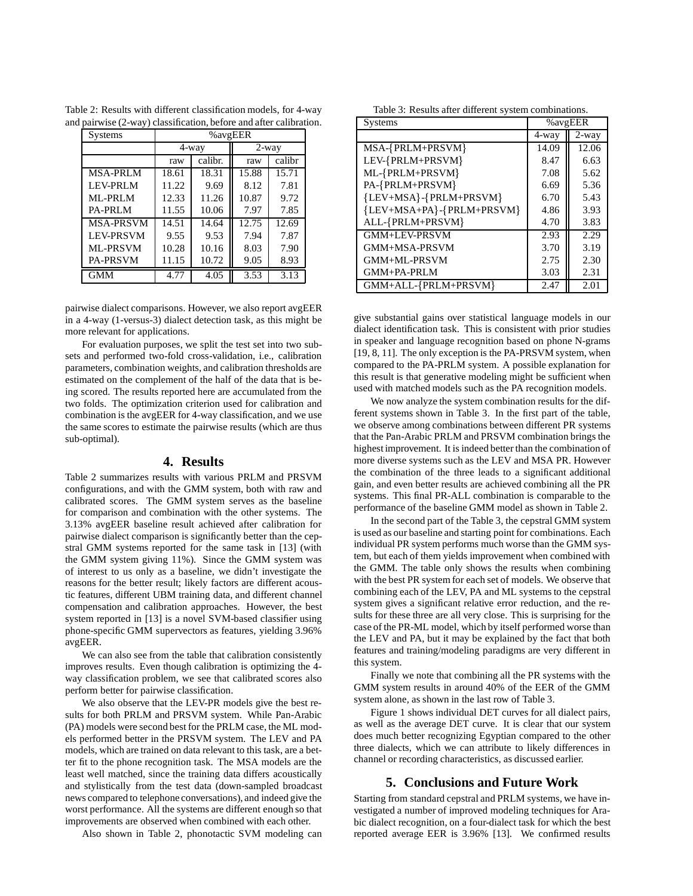| Systems          | %avgEER |         |          |        |
|------------------|---------|---------|----------|--------|
|                  | 4-way   |         | $2$ -way |        |
|                  | raw     | calibr. | raw      | calibr |
| <b>MSA-PRLM</b>  | 18.61   | 18.31   | 15.88    | 15.71  |
| <b>LEV-PRLM</b>  | 11.22   | 9.69    | 8.12     | 7.81   |
| ML-PRLM          | 12.33   | 11.26   | 10.87    | 9.72   |
| <b>PA-PRLM</b>   | 11.55   | 10.06   | 7.97     | 7.85   |
| <b>MSA-PRSVM</b> | 14.51   | 14.64   | 12.75    | 12.69  |
| <b>LEV-PRSVM</b> | 9.55    | 9.53    | 7.94     | 7.87   |
| <b>ML-PRSVM</b>  | 10.28   | 10.16   | 8.03     | 7.90   |
| <b>PA-PRSVM</b>  | 11.15   | 10.72   | 9.05     | 8.93   |
| GMM              | 4.77    | 4.05    | 3.53     | 3.13   |

Table 2: Results with different classification models, for 4-way and pairwise (2-way) classification, before and after calibration.

pairwise dialect comparisons. However, we also report avgEER in a 4-way (1-versus-3) dialect detection task, as this might be more relevant for applications.

For evaluation purposes, we split the test set into two subsets and performed two-fold cross-validation, i.e., calibration parameters, combination weights, and calibration thresholds are estimated on the complement of the half of the data that is being scored. The results reported here are accumulated from the two folds. The optimization criterion used for calibration and combination is the avgEER for 4-way classification, and we use the same scores to estimate the pairwise results (which are thus sub-optimal).

#### **4. Results**

Table 2 summarizes results with various PRLM and PRSVM configurations, and with the GMM system, both with raw and calibrated scores. The GMM system serves as the baseline for comparison and combination with the other systems. The 3.13% avgEER baseline result achieved after calibration for pairwise dialect comparison is significantly better than the cepstral GMM systems reported for the same task in [13] (with the GMM system giving 11%). Since the GMM system was of interest to us only as a baseline, we didn't investigate the reasons for the better result; likely factors are different acoustic features, different UBM training data, and different channel compensation and calibration approaches. However, the best system reported in [13] is a novel SVM-based classifier using phone-specific GMM supervectors as features, yielding 3.96% avgEER.

We can also see from the table that calibration consistently improves results. Even though calibration is optimizing the 4 way classification problem, we see that calibrated scores also perform better for pairwise classification.

We also observe that the LEV-PR models give the best results for both PRLM and PRSVM system. While Pan-Arabic (PA) models were second best for the PRLM case, the ML models performed better in the PRSVM system. The LEV and PA models, which are trained on data relevant to this task, are a better fit to the phone recognition task. The MSA models are the least well matched, since the training data differs acoustically and stylistically from the test data (down-sampled broadcast news compared to telephone conversations), and indeed give the worst performance. All the systems are different enough so that improvements are observed when combined with each other.

Also shown in Table 2, phonotactic SVM modeling can

|  |  | Table 3: Results after different system combinations. |
|--|--|-------------------------------------------------------|
|  |  |                                                       |

| Systems                   | %avgEER |          |  |
|---------------------------|---------|----------|--|
|                           | 4-way   | $2$ -way |  |
| MSA-{PRLM+PRSVM}          | 14.09   | 12.06    |  |
| LEV-{PRLM+PRSVM}          | 8.47    | 6.63     |  |
| ML-{PRLM+PRSVM}           | 7.08    | 5.62     |  |
| PA-{PRLM+PRSVM}           | 6.69    | 5.36     |  |
| {LEV+MSA}-{PRLM+PRSVM}    | 6.70    | 5.43     |  |
| {LEV+MSA+PA}-{PRLM+PRSVM} | 4.86    | 3.93     |  |
| ALL-{PRLM+PRSVM}          | 4.70    | 3.83     |  |
| GMM+LEV-PRSVM             | 2.93    | 2.29     |  |
| GMM+MSA-PRSVM             | 3.70    | 3.19     |  |
| GMM+ML-PRSVM              | 2.75    | 2.30     |  |
| GMM+PA-PRLM               | 3.03    | 2.31     |  |
| GMM+ALL-{PRLM+PRSVM}      | 2.47    | 2.01     |  |

give substantial gains over statistical language models in our dialect identification task. This is consistent with prior studies in speaker and language recognition based on phone N-grams [19, 8, 11]. The only exception is the PA-PRSVM system, when compared to the PA-PRLM system. A possible explanation for this result is that generative modeling might be sufficient when used with matched models such as the PA recognition models.

We now analyze the system combination results for the different systems shown in Table 3. In the first part of the table, we observe among combinations between different PR systems that the Pan-Arabic PRLM and PRSVM combination brings the highest improvement. It is indeed better than the combination of more diverse systems such as the LEV and MSA PR. However the combination of the three leads to a significant additional gain, and even better results are achieved combining all the PR systems. This final PR-ALL combination is comparable to the performance of the baseline GMM model as shown in Table 2.

In the second part of the Table 3, the cepstral GMM system is used as our baseline and starting point for combinations. Each individual PR system performs much worse than the GMM system, but each of them yields improvement when combined with the GMM. The table only shows the results when combining with the best PR system for each set of models. We observe that combining each of the LEV, PA and ML systems to the cepstral system gives a significant relative error reduction, and the results for these three are all very close. This is surprising for the case of the PR-ML model, which by itself performed worse than the LEV and PA, but it may be explained by the fact that both features and training/modeling paradigms are very different in this system.

Finally we note that combining all the PR systems with the GMM system results in around 40% of the EER of the GMM system alone, as shown in the last row of Table 3.

Figure 1 shows individual DET curves for all dialect pairs, as well as the average DET curve. It is clear that our system does much better recognizing Egyptian compared to the other three dialects, which we can attribute to likely differences in channel or recording characteristics, as discussed earlier.

## **5. Conclusions and Future Work**

Starting from standard cepstral and PRLM systems, we have investigated a number of improved modeling techniques for Arabic dialect recognition, on a four-dialect task for which the best reported average EER is 3.96% [13]. We confirmed results